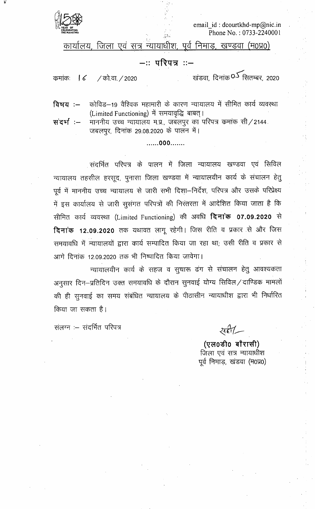

email id: dcourtkhd-mp@nic.in Phone No.: 0733-2240001

कार्यालय, जिला एवं सूत्र न्यायाधीश, पूर्व निमाडू, खण्डवा (म0प्र0)

## −ः परिपत्र ः−

कमांकः  $\sqrt{6}$ / को.वा. / 2020 खंडवा, दिनांक**्र** सितम्बर, 2020

कोविड–19 वैश्विक महामारी के कारण न्यायालय में सीमित कार्य व्यवस्था विषय $:=$ (Limited Functioning) में समयावृद्धि बाबत्।

संदर्भ:-माननीय उच्च न्यायालय म.प्र., जबलपुर का परिपत्र कमांक सी/2144. जबलपूर, दिनांक 29.08.2020 के पालन में।

.......000.......

संदर्भित परिपत्र के पालन में जिला न्यायालय खण्डवा एवं सिविल न्यायालय तहसील हरसूद, पुनासा जिला खण्डवा में न्यायालयीन कार्य के संचालन हेतु पूर्व में माननीय उच्च न्यायालय से जारी सभी दिशा-निर्देश, परिपत्र और उसके परिप्रेक्ष्य में इस कार्यालय से जारी सुसंगत परिपत्रों की निरंतरता में आदेशित किया जाता है कि सीमित कार्य व्यवस्था (Limited Functioning) की अवधि **दिनांक 07.09.2020** से दिनांक 12.09.2020 तक यथावत लागू रहेगी। जिस रीति व प्रकार से और जिस समयावधि में न्यायालयों द्वारा कार्य सम्पादित किया जा रहा था; उसी रीति व प्रकार से आगे दिनांक 12.09.2020 तक भी निष्पादित किया जावेगा।

न्यायालयीन कार्य के सहज व सूचारू ढंग से संचालन हेतु आवश्यकता अनुसार दिन–प्रतिदिन उक्त समयावधि के दौरान सुनवाई योग्य सिविल/दाण्डिक मामलों की ही सुनवाई का समय संबंधित न्यायालय के पीठासीन न्यायाधीश द्वारा भी निर्धारित किया जा सकता है।

संलग्न :- संदर्भित परिपत्र

 $2761 -$ 

(एल0डी0 बौरासी) जिला एवं सत्र न्यायाधीश पूर्व निमाड़, खंडवा (म0प्र0)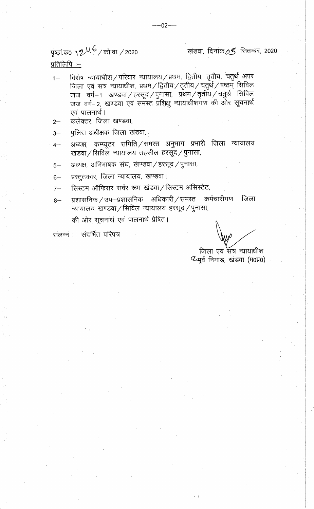पृष्ठां क0 **12<sup>46</sup>/** को.वा. / 2020

खंडवा, दिनांक $\rho$ 5 सितम्बर, 2020

प्रतिलिपि :-

- विशेष न्यायाधीश/परिवार न्यायालय/प्रथम, द्वितीय, तृतीय, चतुर्थ अपर  $1 -$ जिला एवं सत्र न्यायाधीश, प्रथम / द्वितीय / तृतीय / चतुर्थ / षष्ठम् सिविल जज वर्ग $-$ 1 खण्डवा $/$ हरसूद $/$ पुनासा, प्रथम $/$ तृतीय $/$ चतुर्थ सिविल जज वर्ग-2, खण्डवा एवं समेरत प्रशिक्षु न्यायाधीशगण की ओर सूचनार्थ एवं पालनार्थ।
- कलेक्टर, जिला खण्डवा,  $2-$
- पुलिस अधीक्षक जिला खंडवा,  $3-$
- अध्यक्ष, कम्प्यूटर समिति ⁄ समस्त अनुभाग प्रभारी जिला न्यायालय  $4-$ खंडवा / सिविलं न्यायालय तहसील हरसूद / पुनासा,
- अध्यक्ष, अभिभाषक संघ, खण्डवा / हरसूद / पुनासा,  $5-$
- प्रस्तुतकार, जिला न्यायालय, खण्डवा।  $6-$
- सिस्टम ऑफिसर सर्वर रूम खंडवा / सिस्टम असिस्टेंट,  $7-$
- प्रशासनिक / उप–प्रशासनिक अधिकारी / समस्त कर्मचारीगण जिला  $8-$ न्यायालय खण्डवा / सिविल न्यायालय हरसूद / पुनासा, की ओर सूचनार्थ एवं पालनार्थ प्रेषित।

संलग्न :- संदर्भित परिपत्र

जिला एवं संत्र न्यायाधीश  $\alpha$ पूर्व निमाड़, खंडवा (म0प्र0)